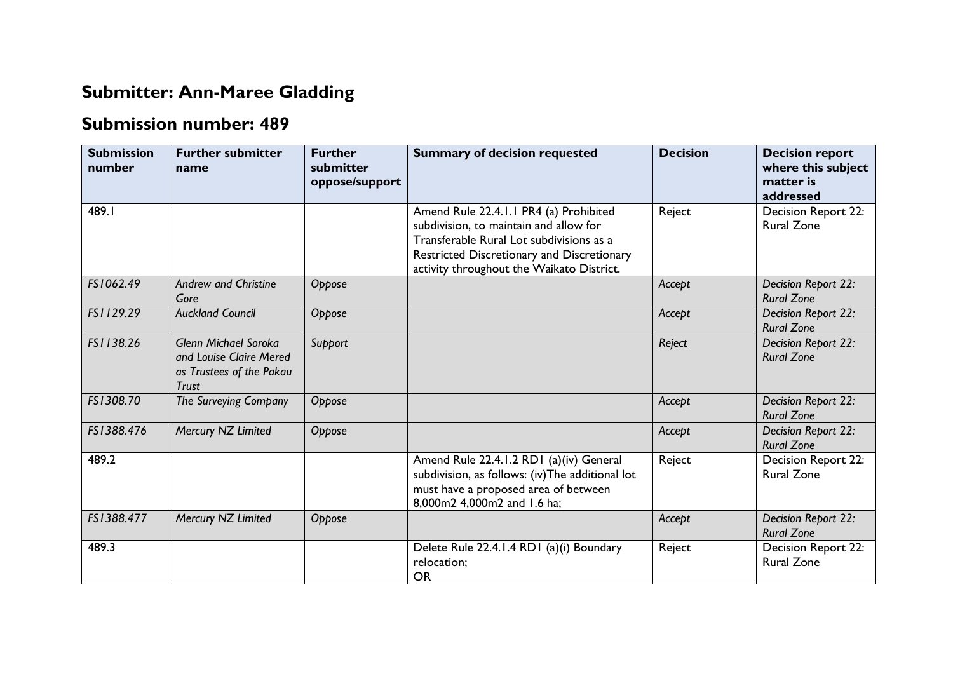## **Submitter: Ann-Maree Gladding**

## **Submission number: 489**

| <b>Submission</b><br>number | <b>Further submitter</b><br>name                                                                   | <b>Further</b><br>submitter<br>oppose/support | <b>Summary of decision requested</b>                                                                                                                                                                                    | <b>Decision</b> | <b>Decision report</b><br>where this subject<br>matter is<br>addressed |
|-----------------------------|----------------------------------------------------------------------------------------------------|-----------------------------------------------|-------------------------------------------------------------------------------------------------------------------------------------------------------------------------------------------------------------------------|-----------------|------------------------------------------------------------------------|
| 489.I                       |                                                                                                    |                                               | Amend Rule 22.4.1.1 PR4 (a) Prohibited<br>subdivision, to maintain and allow for<br>Transferable Rural Lot subdivisions as a<br>Restricted Discretionary and Discretionary<br>activity throughout the Waikato District. | Reject          | Decision Report 22:<br><b>Rural Zone</b>                               |
| FS1062.49                   | <b>Andrew and Christine</b><br>Gore                                                                | Oppose                                        |                                                                                                                                                                                                                         | Accept          | Decision Report 22:<br><b>Rural Zone</b>                               |
| FS1129.29                   | <b>Auckland Council</b>                                                                            | Oppose                                        |                                                                                                                                                                                                                         | Accept          | Decision Report 22:<br><b>Rural Zone</b>                               |
| FS1138.26                   | <b>Glenn Michael Soroka</b><br>and Louise Claire Mered<br>as Trustees of the Pakau<br><b>Trust</b> | Support                                       |                                                                                                                                                                                                                         | Reject          | Decision Report 22:<br><b>Rural Zone</b>                               |
| FS1308.70                   | The Surveying Company                                                                              | Oppose                                        |                                                                                                                                                                                                                         | Accept          | Decision Report 22:<br><b>Rural Zone</b>                               |
| FS1388.476                  | Mercury NZ Limited                                                                                 | Oppose                                        |                                                                                                                                                                                                                         | Accept          | Decision Report 22:<br><b>Rural Zone</b>                               |
| 489.2                       |                                                                                                    |                                               | Amend Rule 22.4.1.2 RD1 (a)(iv) General<br>subdivision, as follows: (iv)The additional lot<br>must have a proposed area of between<br>8,000m2 4,000m2 and 1.6 ha;                                                       | Reject          | Decision Report 22:<br><b>Rural Zone</b>                               |
| FS1388.477                  | Mercury NZ Limited                                                                                 | Oppose                                        |                                                                                                                                                                                                                         | Accept          | Decision Report 22:<br><b>Rural Zone</b>                               |
| 489.3                       |                                                                                                    |                                               | Delete Rule 22.4.1.4 RD1 (a)(i) Boundary<br>relocation;<br><b>OR</b>                                                                                                                                                    | Reject          | Decision Report 22:<br><b>Rural Zone</b>                               |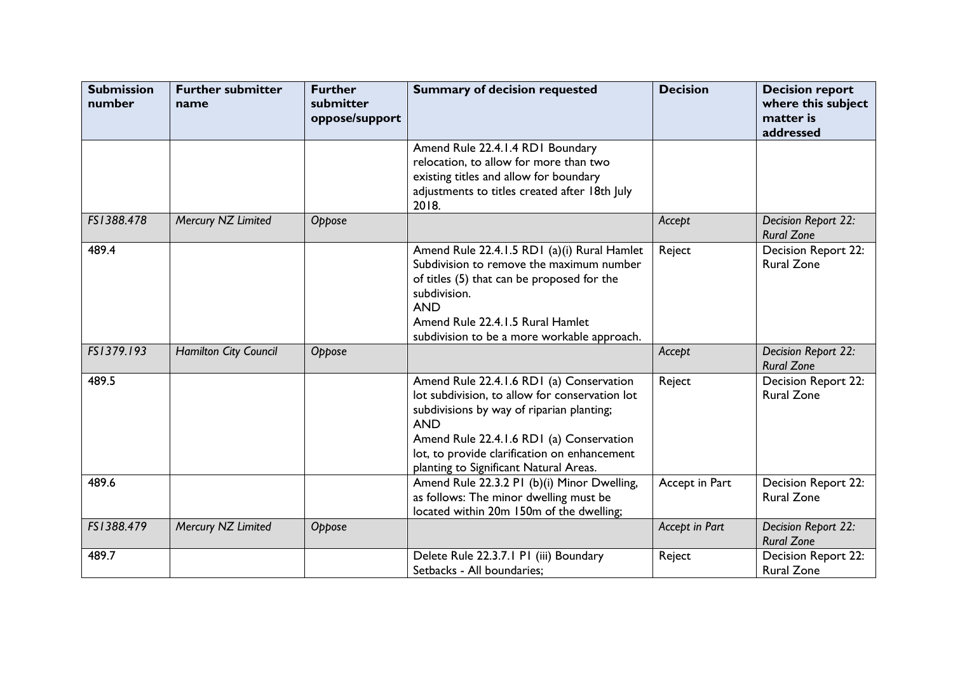| <b>Submission</b><br>number | <b>Further submitter</b><br>name | <b>Further</b><br>submitter<br>oppose/support | <b>Summary of decision requested</b>                                                                                                                                                                                                                                                        | <b>Decision</b> | <b>Decision report</b><br>where this subject<br>matter is<br>addressed |
|-----------------------------|----------------------------------|-----------------------------------------------|---------------------------------------------------------------------------------------------------------------------------------------------------------------------------------------------------------------------------------------------------------------------------------------------|-----------------|------------------------------------------------------------------------|
|                             |                                  |                                               | Amend Rule 22.4.1.4 RD1 Boundary<br>relocation, to allow for more than two<br>existing titles and allow for boundary<br>adjustments to titles created after 18th July<br>2018.                                                                                                              |                 |                                                                        |
| FS1388.478                  | Mercury NZ Limited               | Oppose                                        |                                                                                                                                                                                                                                                                                             | Accept          | Decision Report 22:<br><b>Rural Zone</b>                               |
| 489.4                       |                                  |                                               | Amend Rule 22.4.1.5 RD1 (a)(i) Rural Hamlet<br>Subdivision to remove the maximum number<br>of titles (5) that can be proposed for the<br>subdivision.<br><b>AND</b><br>Amend Rule 22.4.1.5 Rural Hamlet<br>subdivision to be a more workable approach.                                      | Reject          | Decision Report 22:<br><b>Rural Zone</b>                               |
| FS1379.193                  | <b>Hamilton City Council</b>     | Oppose                                        |                                                                                                                                                                                                                                                                                             | Accept          | Decision Report 22:<br><b>Rural Zone</b>                               |
| 489.5                       |                                  |                                               | Amend Rule 22.4.1.6 RD1 (a) Conservation<br>lot subdivision, to allow for conservation lot<br>subdivisions by way of riparian planting;<br><b>AND</b><br>Amend Rule 22.4.1.6 RD1 (a) Conservation<br>lot, to provide clarification on enhancement<br>planting to Significant Natural Areas. | Reject          | Decision Report 22:<br><b>Rural Zone</b>                               |
| 489.6                       |                                  |                                               | Amend Rule 22.3.2 PI (b)(i) Minor Dwelling,<br>as follows: The minor dwelling must be<br>located within 20m 150m of the dwelling;                                                                                                                                                           | Accept in Part  | <b>Decision Report 22:</b><br><b>Rural Zone</b>                        |
| FS1388.479                  | Mercury NZ Limited               | Oppose                                        |                                                                                                                                                                                                                                                                                             | Accept in Part  | Decision Report 22:<br><b>Rural Zone</b>                               |
| 489.7                       |                                  |                                               | Delete Rule 22.3.7.1 P1 (iii) Boundary<br>Setbacks - All boundaries;                                                                                                                                                                                                                        | Reject          | Decision Report 22:<br><b>Rural Zone</b>                               |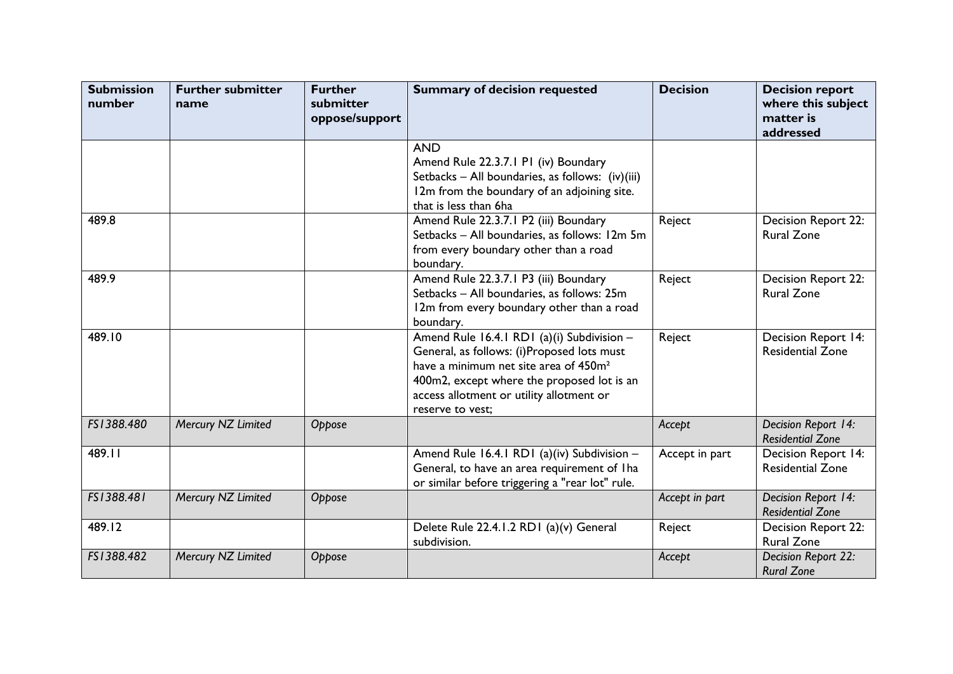| <b>Submission</b><br>number | <b>Further submitter</b><br>name | <b>Further</b><br>submitter<br>oppose/support | <b>Summary of decision requested</b>                                                                                                                                                                                                                        | <b>Decision</b> | <b>Decision report</b><br>where this subject<br>matter is<br>addressed |
|-----------------------------|----------------------------------|-----------------------------------------------|-------------------------------------------------------------------------------------------------------------------------------------------------------------------------------------------------------------------------------------------------------------|-----------------|------------------------------------------------------------------------|
|                             |                                  |                                               | <b>AND</b><br>Amend Rule 22.3.7.1 P1 (iv) Boundary<br>Setbacks - All boundaries, as follows: (iv)(iii)<br>12m from the boundary of an adjoining site.<br>that is less than 6ha                                                                              |                 |                                                                        |
| 489.8                       |                                  |                                               | Amend Rule 22.3.7.1 P2 (iii) Boundary<br>Setbacks - All boundaries, as follows: 12m 5m<br>from every boundary other than a road<br>boundary.                                                                                                                | Reject          | <b>Decision Report 22:</b><br><b>Rural Zone</b>                        |
| 489.9                       |                                  |                                               | Amend Rule 22.3.7.1 P3 (iii) Boundary<br>Setbacks - All boundaries, as follows: 25m<br>12m from every boundary other than a road<br>boundary.                                                                                                               | Reject          | Decision Report 22:<br><b>Rural Zone</b>                               |
| 489.10                      |                                  |                                               | Amend Rule 16.4.1 RD1 (a)(i) Subdivision -<br>General, as follows: (i)Proposed lots must<br>have a minimum net site area of 450m <sup>2</sup><br>400m2, except where the proposed lot is an<br>access allotment or utility allotment or<br>reserve to vest; | Reject          | <b>Decision Report 14:</b><br><b>Residential Zone</b>                  |
| FS1388.480                  | Mercury NZ Limited               | Oppose                                        |                                                                                                                                                                                                                                                             | Accept          | Decision Report 14:<br><b>Residential Zone</b>                         |
| 489.11                      |                                  |                                               | Amend Rule 16.4.1 RD1 (a)(iv) Subdivision -<br>General, to have an area requirement of Iha<br>or similar before triggering a "rear lot" rule.                                                                                                               | Accept in part  | Decision Report 14:<br><b>Residential Zone</b>                         |
| FS1388.481                  | Mercury NZ Limited               | Oppose                                        |                                                                                                                                                                                                                                                             | Accept in part  | Decision Report 14:<br><b>Residential Zone</b>                         |
| 489.12                      |                                  |                                               | Delete Rule 22.4.1.2 RD1 (a)(v) General<br>subdivision.                                                                                                                                                                                                     | Reject          | <b>Decision Report 22:</b><br><b>Rural Zone</b>                        |
| FS1388.482                  | Mercury NZ Limited               | Oppose                                        |                                                                                                                                                                                                                                                             | Accept          | Decision Report 22:<br><b>Rural Zone</b>                               |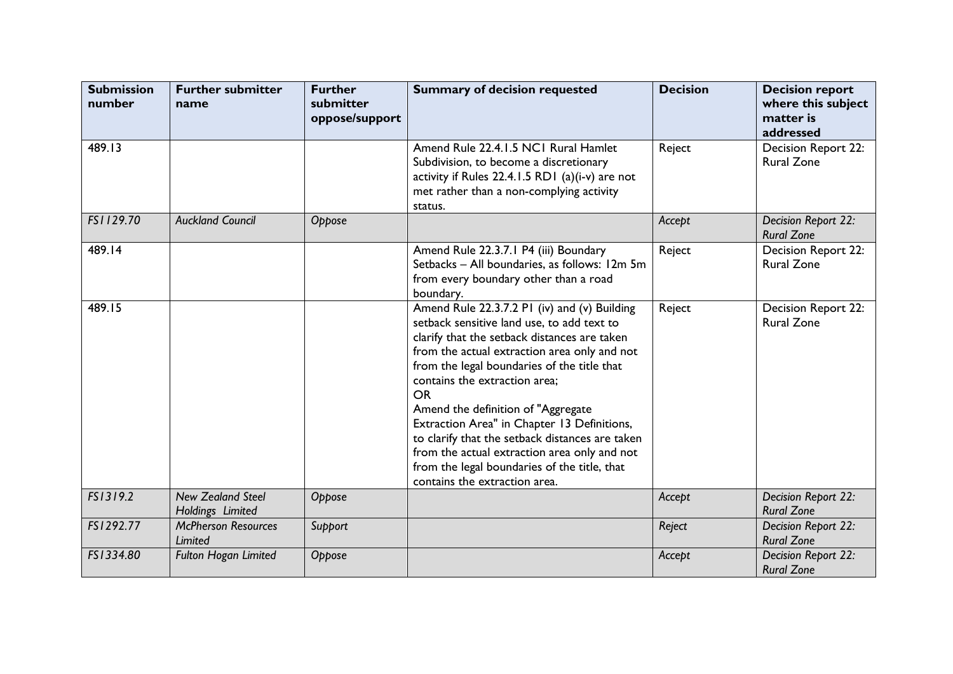| <b>Submission</b><br>number | <b>Further submitter</b><br>name             | <b>Further</b><br>submitter<br>oppose/support | <b>Summary of decision requested</b>                                                                                                                                                                                                                                                                                                                                                                                                                                                                                                                             | <b>Decision</b> | <b>Decision report</b><br>where this subject<br>matter is<br>addressed |
|-----------------------------|----------------------------------------------|-----------------------------------------------|------------------------------------------------------------------------------------------------------------------------------------------------------------------------------------------------------------------------------------------------------------------------------------------------------------------------------------------------------------------------------------------------------------------------------------------------------------------------------------------------------------------------------------------------------------------|-----------------|------------------------------------------------------------------------|
| 489.13                      |                                              |                                               | Amend Rule 22.4.1.5 NC1 Rural Hamlet<br>Subdivision, to become a discretionary<br>activity if Rules $22.4.1.5$ RD1 (a)(i-v) are not<br>met rather than a non-complying activity<br>status.                                                                                                                                                                                                                                                                                                                                                                       | Reject          | Decision Report 22:<br><b>Rural Zone</b>                               |
| FS1129.70                   | <b>Auckland Council</b>                      | Oppose                                        |                                                                                                                                                                                                                                                                                                                                                                                                                                                                                                                                                                  | Accept          | Decision Report 22:<br><b>Rural Zone</b>                               |
| 489.14                      |                                              |                                               | Amend Rule 22.3.7.1 P4 (iii) Boundary<br>Setbacks - All boundaries, as follows: 12m 5m<br>from every boundary other than a road<br>boundary.                                                                                                                                                                                                                                                                                                                                                                                                                     | Reject          | Decision Report 22:<br><b>Rural Zone</b>                               |
| 489.15                      |                                              |                                               | Amend Rule 22.3.7.2 PI (iv) and (v) Building<br>setback sensitive land use, to add text to<br>clarify that the setback distances are taken<br>from the actual extraction area only and not<br>from the legal boundaries of the title that<br>contains the extraction area;<br><b>OR</b><br>Amend the definition of "Aggregate<br>Extraction Area" in Chapter 13 Definitions,<br>to clarify that the setback distances are taken<br>from the actual extraction area only and not<br>from the legal boundaries of the title, that<br>contains the extraction area. | Reject          | Decision Report 22:<br><b>Rural Zone</b>                               |
| FS1319.2                    | <b>New Zealand Steel</b><br>Holdings Limited | Oppose                                        |                                                                                                                                                                                                                                                                                                                                                                                                                                                                                                                                                                  | Accept          | Decision Report 22:<br><b>Rural Zone</b>                               |
| FS1292.77                   | <b>McPherson Resources</b><br>Limited        | Support                                       |                                                                                                                                                                                                                                                                                                                                                                                                                                                                                                                                                                  | Reject          | Decision Report 22:<br><b>Rural Zone</b>                               |
| FS1334.80                   | Fulton Hogan Limited                         | Oppose                                        |                                                                                                                                                                                                                                                                                                                                                                                                                                                                                                                                                                  | Accept          | Decision Report 22:<br><b>Rural Zone</b>                               |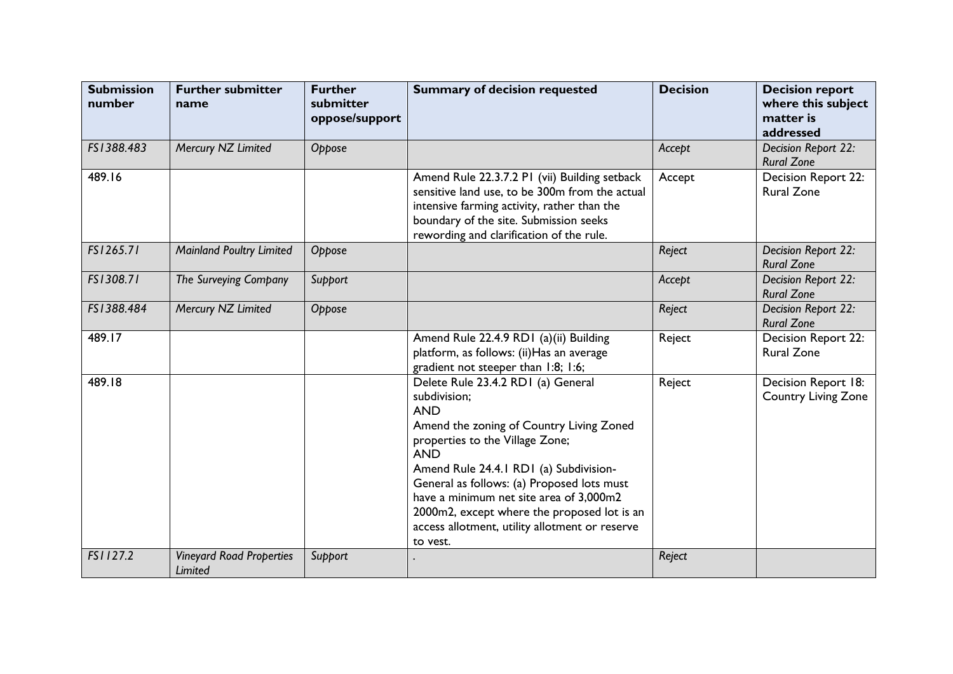| <b>Submission</b><br>number | <b>Further submitter</b><br>name           | <b>Further</b><br>submitter<br>oppose/support | <b>Summary of decision requested</b>                                                                                                                                                                                                                                                                                                                                                                          | <b>Decision</b> | <b>Decision report</b><br>where this subject<br>matter is<br>addressed |
|-----------------------------|--------------------------------------------|-----------------------------------------------|---------------------------------------------------------------------------------------------------------------------------------------------------------------------------------------------------------------------------------------------------------------------------------------------------------------------------------------------------------------------------------------------------------------|-----------------|------------------------------------------------------------------------|
| FS1388.483                  | Mercury NZ Limited                         | Oppose                                        |                                                                                                                                                                                                                                                                                                                                                                                                               | Accept          | Decision Report 22:<br><b>Rural Zone</b>                               |
| 489.16                      |                                            |                                               | Amend Rule 22.3.7.2 P1 (vii) Building setback<br>sensitive land use, to be 300m from the actual<br>intensive farming activity, rather than the<br>boundary of the site. Submission seeks<br>rewording and clarification of the rule.                                                                                                                                                                          | Accept          | Decision Report 22:<br><b>Rural Zone</b>                               |
| FS1265.71                   | <b>Mainland Poultry Limited</b>            | Oppose                                        |                                                                                                                                                                                                                                                                                                                                                                                                               | Reject          | Decision Report 22:<br><b>Rural Zone</b>                               |
| FS1308.71                   | The Surveying Company                      | Support                                       |                                                                                                                                                                                                                                                                                                                                                                                                               | Accept          | Decision Report 22:<br><b>Rural Zone</b>                               |
| FS1388.484                  | Mercury NZ Limited                         | Oppose                                        |                                                                                                                                                                                                                                                                                                                                                                                                               | Reject          | Decision Report 22:<br><b>Rural Zone</b>                               |
| 489.17                      |                                            |                                               | Amend Rule 22.4.9 RD1 (a)(ii) Building<br>platform, as follows: (ii) Has an average<br>gradient not steeper than 1:8; 1:6;                                                                                                                                                                                                                                                                                    | Reject          | Decision Report 22:<br><b>Rural Zone</b>                               |
| 489.18                      |                                            |                                               | Delete Rule 23.4.2 RD1 (a) General<br>subdivision;<br><b>AND</b><br>Amend the zoning of Country Living Zoned<br>properties to the Village Zone;<br><b>AND</b><br>Amend Rule 24.4.1 RD1 (a) Subdivision-<br>General as follows: (a) Proposed lots must<br>have a minimum net site area of 3,000m2<br>2000m2, except where the proposed lot is an<br>access allotment, utility allotment or reserve<br>to vest. | Reject          | Decision Report 18:<br><b>Country Living Zone</b>                      |
| FS1127.2                    | <b>Vineyard Road Properties</b><br>Limited | Support                                       |                                                                                                                                                                                                                                                                                                                                                                                                               | Reject          |                                                                        |